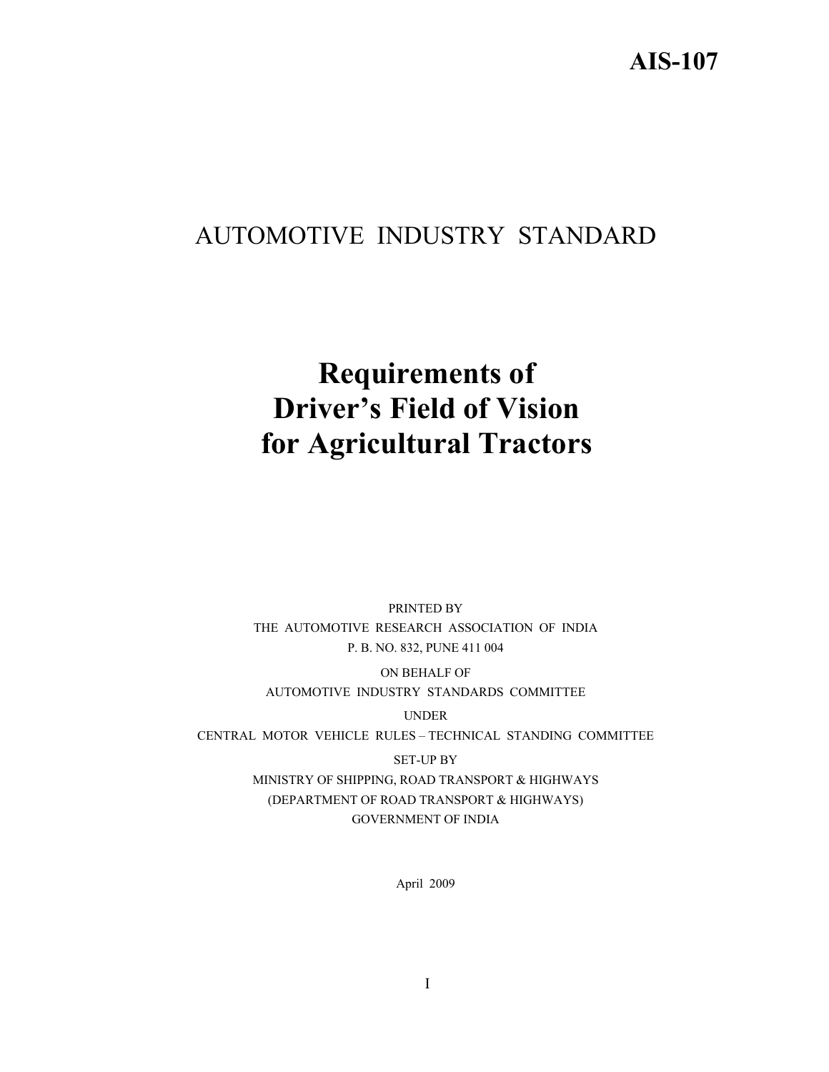# **AIS-107**

# AUTOMOTIVE INDUSTRY STANDARD

# **Requirements of Driver's Field of Vision for Agricultural Tractors**

PRINTED BY THE AUTOMOTIVE RESEARCH ASSOCIATION OF INDIA P. B. NO. 832, PUNE 411 004

ON BEHALF OF AUTOMOTIVE INDUSTRY STANDARDS COMMITTEE

UNDER CENTRAL MOTOR VEHICLE RULES – TECHNICAL STANDING COMMITTEE

> SET-UP BY MINISTRY OF SHIPPING, ROAD TRANSPORT & HIGHWAYS (DEPARTMENT OF ROAD TRANSPORT & HIGHWAYS) GOVERNMENT OF INDIA

> > April 2009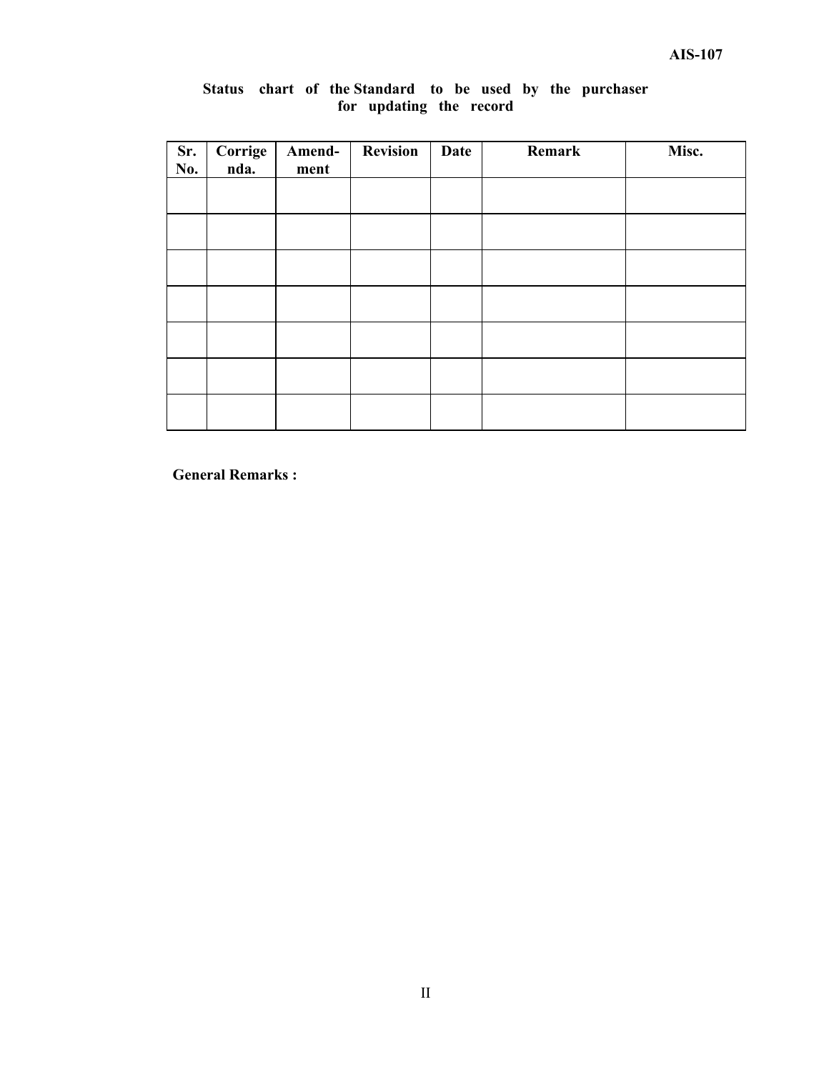| Sr.<br>No. | Corrige<br>nda. | Amend-<br>ment | <b>Revision</b> | Date | Remark | Misc. |
|------------|-----------------|----------------|-----------------|------|--------|-------|
|            |                 |                |                 |      |        |       |
|            |                 |                |                 |      |        |       |
|            |                 |                |                 |      |        |       |
|            |                 |                |                 |      |        |       |
|            |                 |                |                 |      |        |       |
|            |                 |                |                 |      |        |       |
|            |                 |                |                 |      |        |       |

## **Status chart of the Standard to be used by the purchaser for updating the record**

**General Remarks :**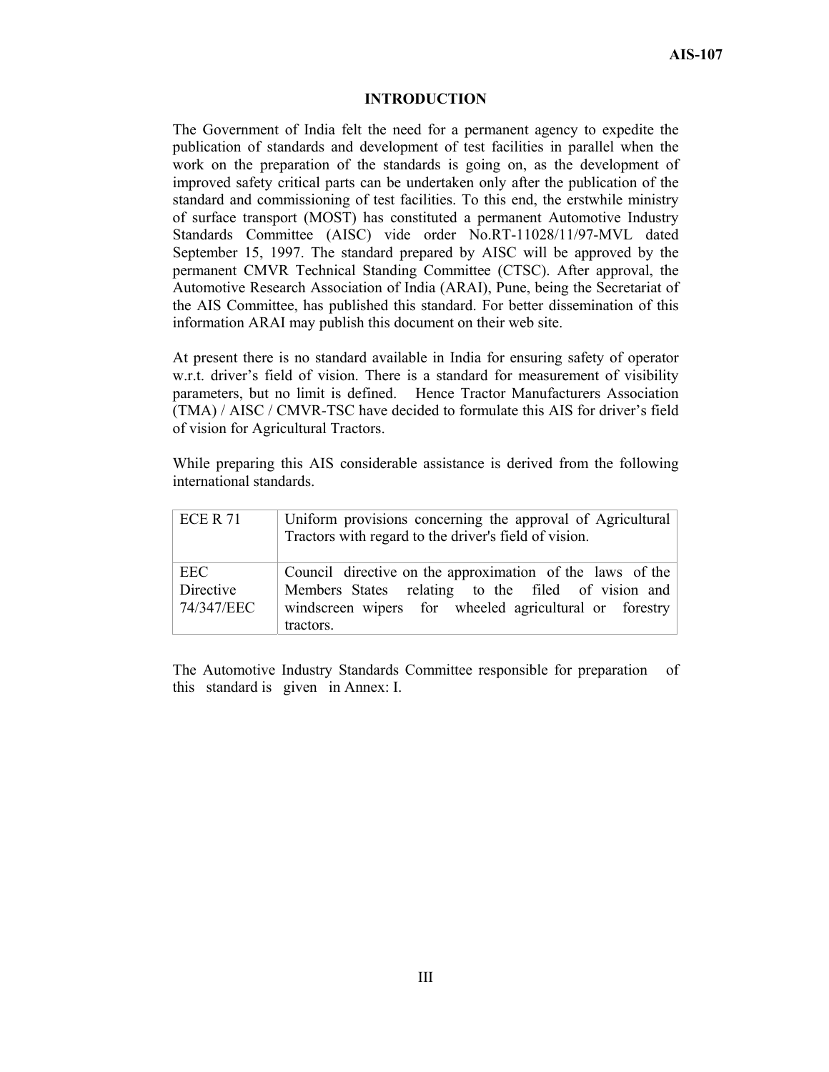#### **INTRODUCTION**

The Government of India felt the need for a permanent agency to expedite the publication of standards and development of test facilities in parallel when the work on the preparation of the standards is going on, as the development of improved safety critical parts can be undertaken only after the publication of the standard and commissioning of test facilities. To this end, the erstwhile ministry of surface transport (MOST) has constituted a permanent Automotive Industry Standards Committee (AISC) vide order No.RT-11028/11/97-MVL dated September 15, 1997. The standard prepared by AISC will be approved by the permanent CMVR Technical Standing Committee (CTSC). After approval, the Automotive Research Association of India (ARAI), Pune, being the Secretariat of the AIS Committee, has published this standard. For better dissemination of this information ARAI may publish this document on their web site.

At present there is no standard available in India for ensuring safety of operator w.r.t. driver's field of vision. There is a standard for measurement of visibility parameters, but no limit is defined. Hence Tractor Manufacturers Association (TMA) / AISC / CMVR-TSC have decided to formulate this AIS for driver's field of vision for Agricultural Tractors.

While preparing this AIS considerable assistance is derived from the following international standards.

| ECE R 71                       | Uniform provisions concerning the approval of Agricultural<br>Tractors with regard to the driver's field of vision.                                                                    |
|--------------------------------|----------------------------------------------------------------------------------------------------------------------------------------------------------------------------------------|
| EEC<br>Directive<br>74/347/EEC | Council directive on the approximation of the laws of the<br>Members States relating to the filed of vision and<br>windscreen wipers for wheeled agricultural or forestry<br>tractors. |

The Automotive Industry Standards Committee responsible for preparation of this standard is given in Annex: I.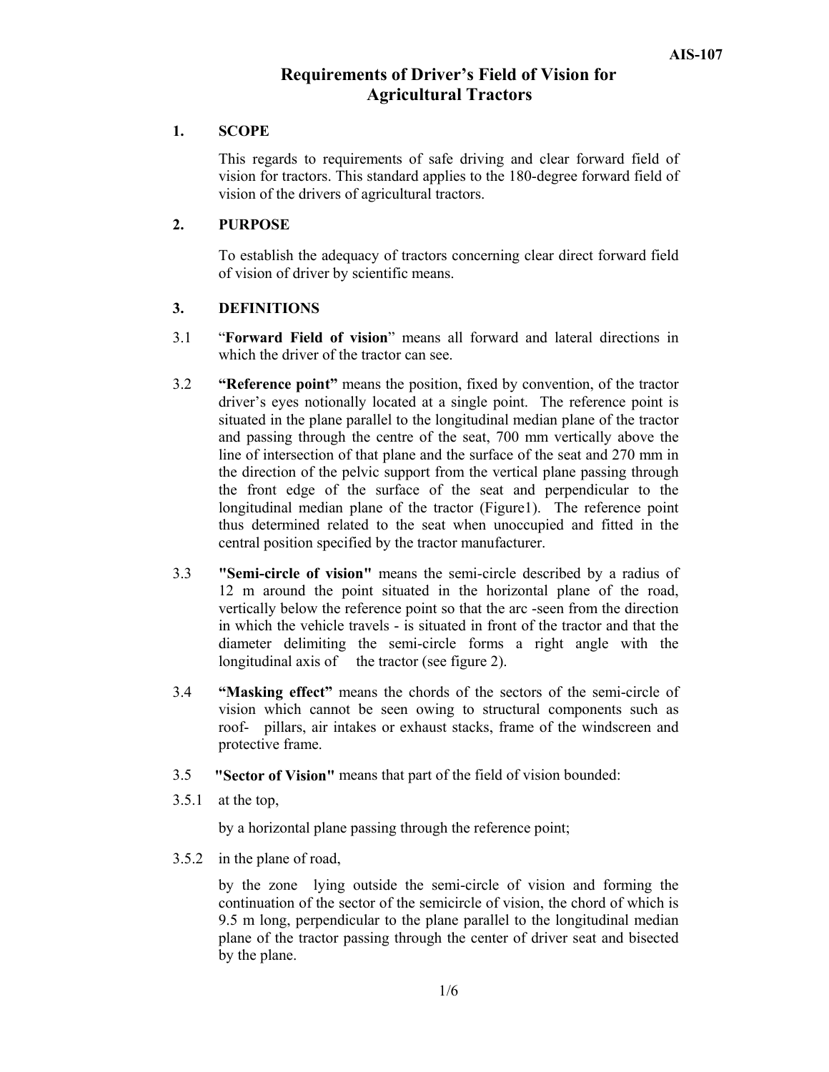## **Requirements of Driver's Field of Vision for Agricultural Tractors**

#### **1. SCOPE**

 This regards to requirements of safe driving and clear forward field of vision for tractors. This standard applies to the 180-degree forward field of vision of the drivers of agricultural tractors.

#### **2. PURPOSE**

 To establish the adequacy of tractors concerning clear direct forward field of vision of driver by scientific means.

#### **3. DEFINITIONS**

- 3.1 "**Forward Field of vision**" means all forward and lateral directions in which the driver of the tractor can see.
- 3.2 **"Reference point"** means the position, fixed by convention, of the tractor driver's eyes notionally located at a single point. The reference point is situated in the plane parallel to the longitudinal median plane of the tractor and passing through the centre of the seat, 700 mm vertically above the line of intersection of that plane and the surface of the seat and 270 mm in the direction of the pelvic support from the vertical plane passing through the front edge of the surface of the seat and perpendicular to the longitudinal median plane of the tractor (Figure1). The reference point thus determined related to the seat when unoccupied and fitted in the central position specified by the tractor manufacturer.
- 3.3 **"Semi-circle of vision"** means the semi-circle described by a radius of 12 m around the point situated in the horizontal plane of the road, vertically below the reference point so that the arc -seen from the direction in which the vehicle travels - is situated in front of the tractor and that the diameter delimiting the semi-circle forms a right angle with the longitudinal axis of the tractor (see figure 2).
- 3.4 **"Masking effect"** means the chords of the sectors of the semi-circle of vision which cannot be seen owing to structural components such as roof- pillars, air intakes or exhaust stacks, frame of the windscreen and protective frame.
- 3.5 **"Sector of Vision"** means that part of the field of vision bounded:
- 3.5.1 at the top,

by a horizontal plane passing through the reference point;

3.5.2 in the plane of road,

by the zone lying outside the semi-circle of vision and forming the continuation of the sector of the semicircle of vision, the chord of which is 9.5 m long, perpendicular to the plane parallel to the longitudinal median plane of the tractor passing through the center of driver seat and bisected by the plane.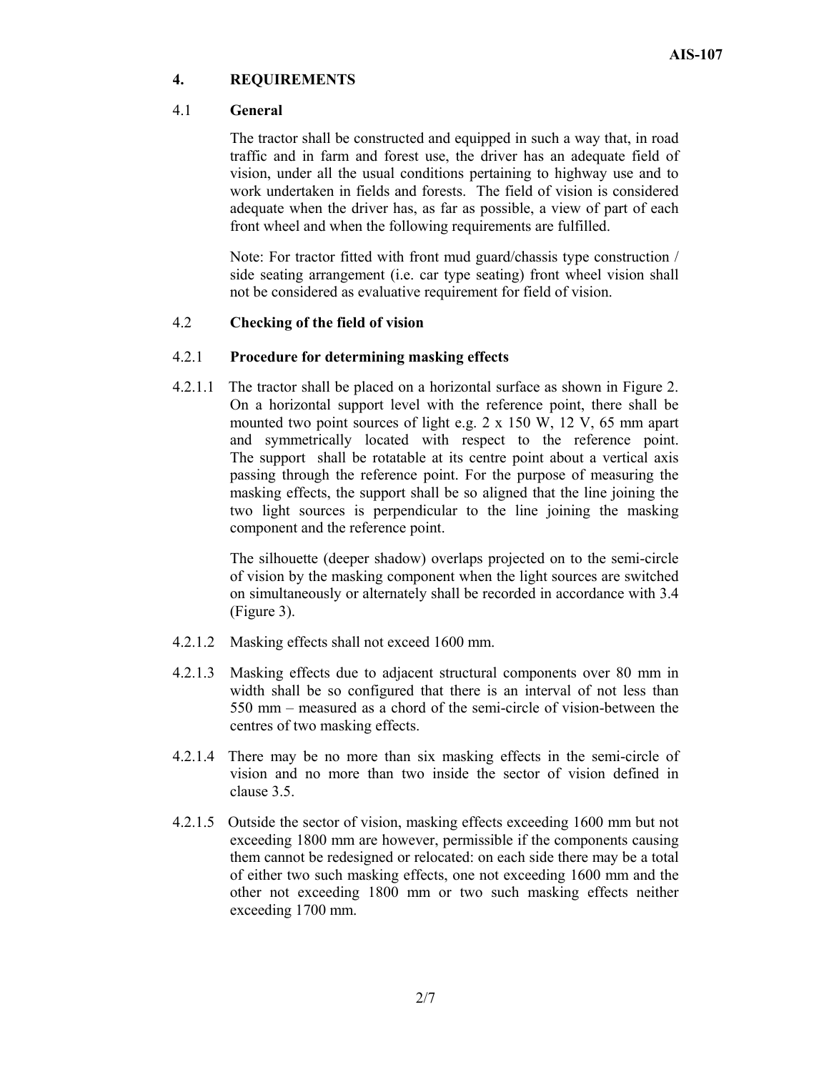#### **4. REQUIREMENTS**

#### 4.1 **General**

 The tractor shall be constructed and equipped in such a way that, in road traffic and in farm and forest use, the driver has an adequate field of vision, under all the usual conditions pertaining to highway use and to work undertaken in fields and forests. The field of vision is considered adequate when the driver has, as far as possible, a view of part of each front wheel and when the following requirements are fulfilled.

 Note: For tractor fitted with front mud guard/chassis type construction / side seating arrangement (i.e. car type seating) front wheel vision shall not be considered as evaluative requirement for field of vision.

#### 4.2 **Checking of the field of vision**

#### 4.2.1 **Procedure for determining masking effects**

4.2.1.1 The tractor shall be placed on a horizontal surface as shown in Figure 2. On a horizontal support level with the reference point, there shall be mounted two point sources of light e.g. 2 x 150 W, 12 V, 65 mm apart and symmetrically located with respect to the reference point. The support shall be rotatable at its centre point about a vertical axis passing through the reference point. For the purpose of measuring the masking effects, the support shall be so aligned that the line joining the two light sources is perpendicular to the line joining the masking component and the reference point.

> The silhouette (deeper shadow) overlaps projected on to the semi-circle of vision by the masking component when the light sources are switched on simultaneously or alternately shall be recorded in accordance with 3.4 (Figure 3).

- 4.2.1.2 Masking effects shall not exceed 1600 mm.
- 4.2.1.3 Masking effects due to adjacent structural components over 80 mm in width shall be so configured that there is an interval of not less than 550 mm – measured as a chord of the semi-circle of vision-between the centres of two masking effects.
- 4.2.1.4 There may be no more than six masking effects in the semi-circle of vision and no more than two inside the sector of vision defined in clause 3.5.
- 4.2.1.5 Outside the sector of vision, masking effects exceeding 1600 mm but not exceeding 1800 mm are however, permissible if the components causing them cannot be redesigned or relocated: on each side there may be a total of either two such masking effects, one not exceeding 1600 mm and the other not exceeding 1800 mm or two such masking effects neither exceeding 1700 mm.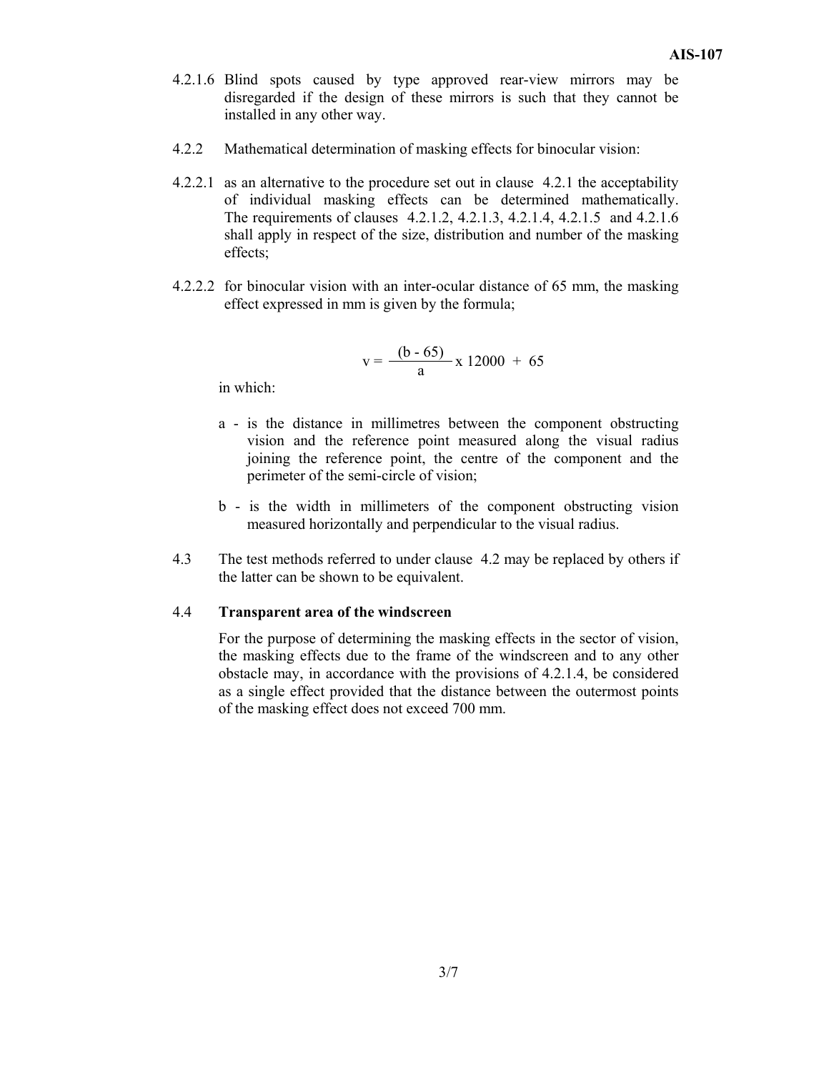- 4.2.1.6 Blind spots caused by type approved rear-view mirrors may be disregarded if the design of these mirrors is such that they cannot be installed in any other way.
- 4.2.2 Mathematical determination of masking effects for binocular vision:
- 4.2.2.1 as an alternative to the procedure set out in clause 4.2.1 the acceptability of individual masking effects can be determined mathematically. The requirements of clauses 4.2.1.2, 4.2.1.3, 4.2.1.4, 4.2.1.5 and 4.2.1.6 shall apply in respect of the size, distribution and number of the masking effects;
- 4.2.2.2 for binocular vision with an inter-ocular distance of 65 mm, the masking effect expressed in mm is given by the formula;

$$
v = \frac{(b - 65)}{a} \times 12000 + 65
$$

in which:

- a is the distance in millimetres between the component obstructing vision and the reference point measured along the visual radius joining the reference point, the centre of the component and the perimeter of the semi-circle of vision;
- b is the width in millimeters of the component obstructing vision measured horizontally and perpendicular to the visual radius.
- 4.3 The test methods referred to under clause 4.2 may be replaced by others if the latter can be shown to be equivalent.

#### 4.4 **Transparent area of the windscreen**

For the purpose of determining the masking effects in the sector of vision, the masking effects due to the frame of the windscreen and to any other obstacle may, in accordance with the provisions of 4.2.1.4, be considered as a single effect provided that the distance between the outermost points of the masking effect does not exceed 700 mm.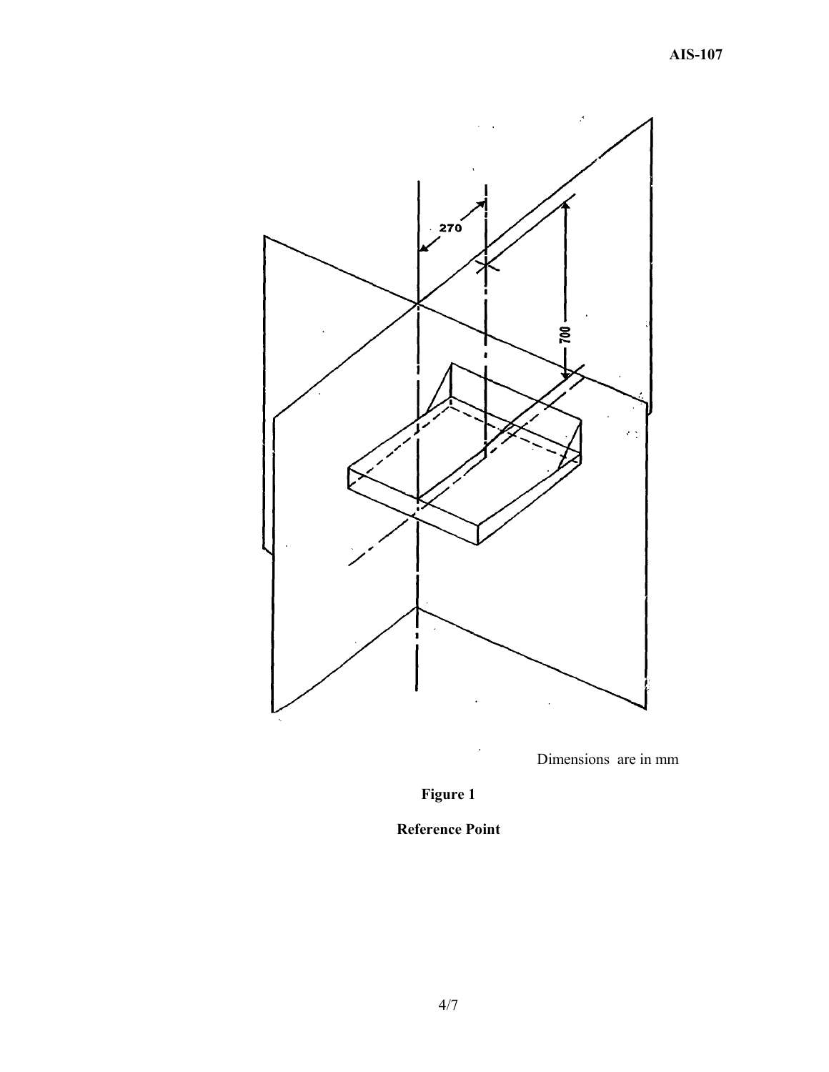

Dimensions are in mm



**Reference Point**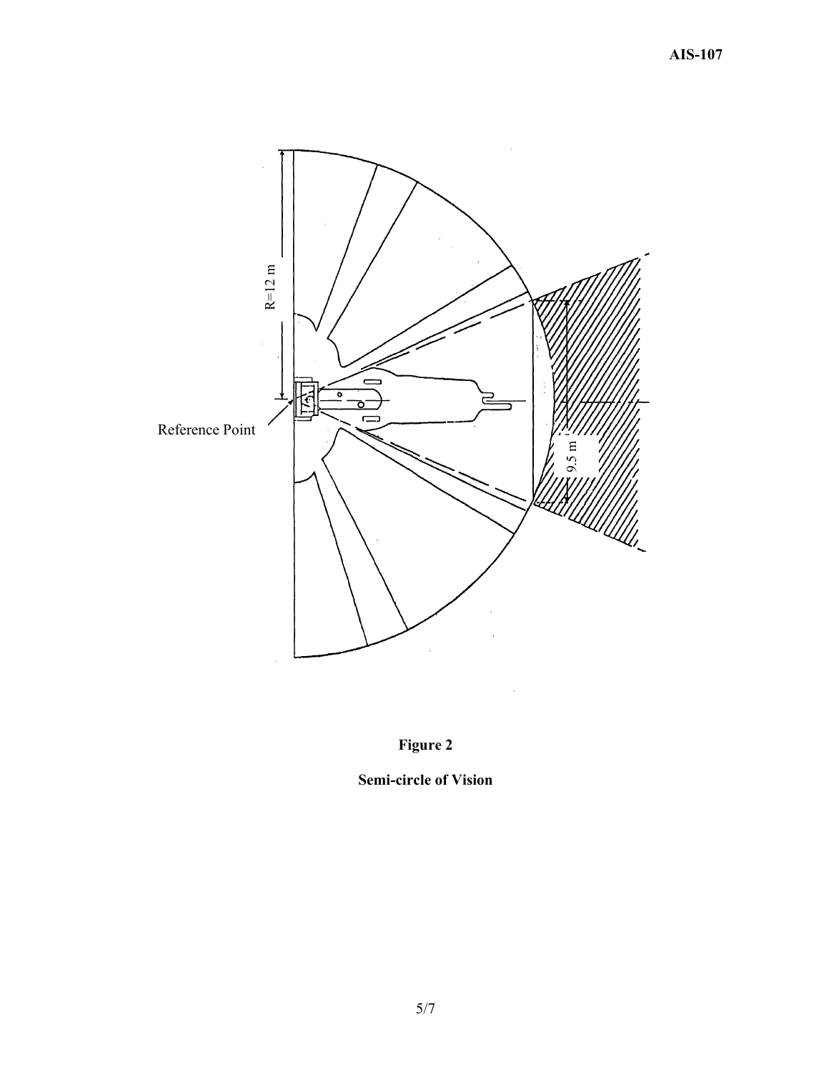



**Semi-circle of Vision**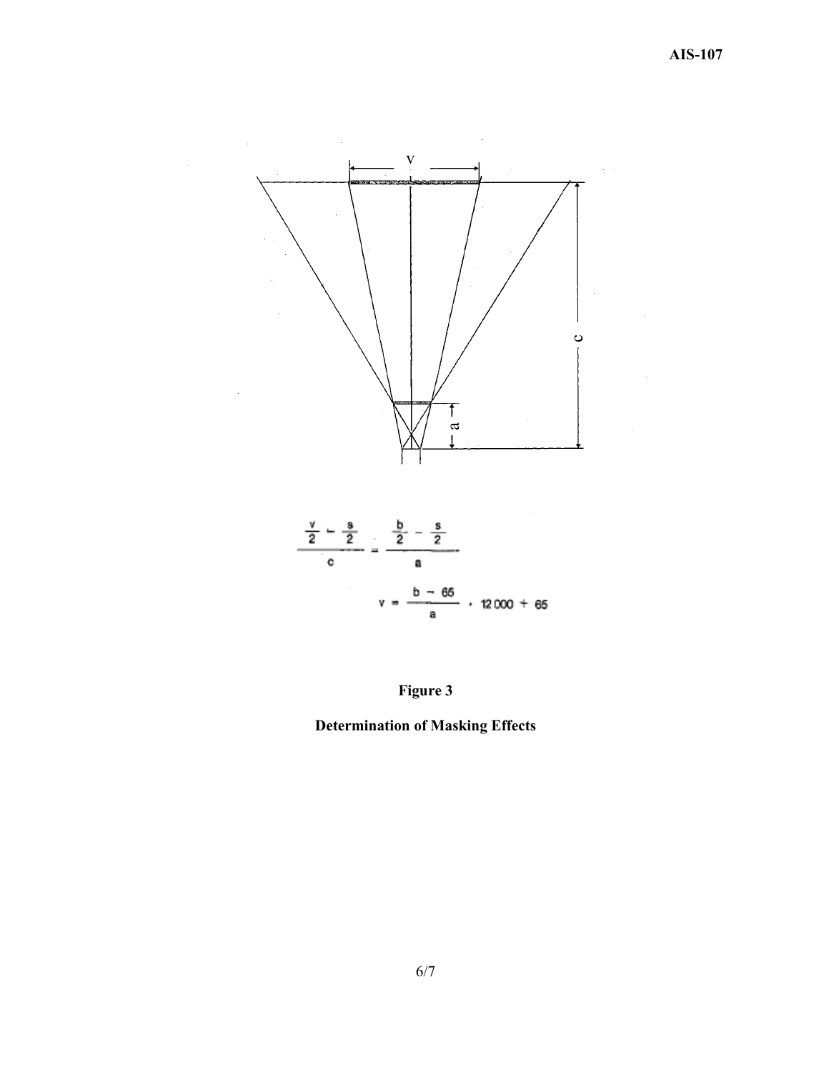

**Figure 3** 

**Determination of Masking Effects**